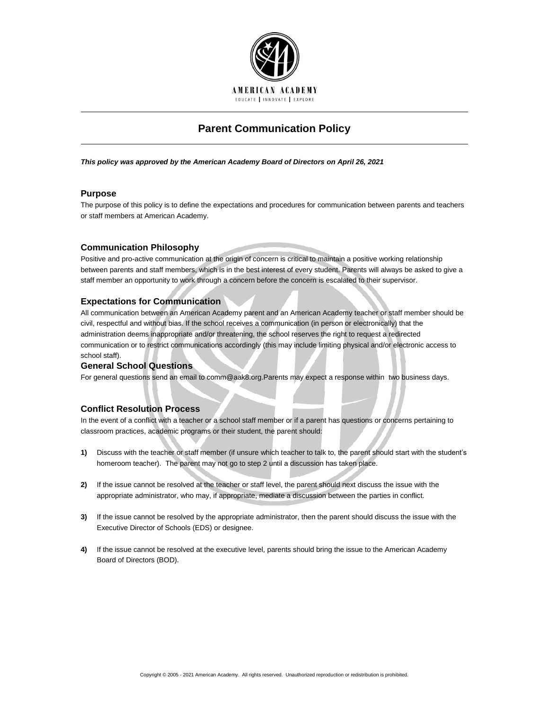

# **Parent Communication Policy**

*This policy was approved by the American Academy Board of Directors on April 26, 2021*

## **Purpose**

The purpose of this policy is to define the expectations and procedures for communication between parents and teachers or staff members at American Academy.

## **Communication Philosophy**

Positive and pro-active communication at the origin of concern is critical to maintain a positive working relationship between parents and staff members, which is in the best interest of every student. Parents will always be asked to give a staff member an opportunity to work through a concern before the concern is escalated to their supervisor.

## **Expectations for Communication**

All communication between an American Academy parent and an American Academy teacher or staff member should be civil, respectful and without bias. If the school receives a communication (in person or electronically) that the administration deems inappropriate and/or threatening, the school reserves the right to request a redirected communication or to restrict communications accordingly (this may include limiting physical and/or electronic access to school staff).

## **General School Questions**

For general questions send an email to comm@aak8.org.Parents may expect a response within two business days.

## **Conflict Resolution Process**

In the event of a conflict with a teacher or a school staff member or if a parent has questions or concerns pertaining to classroom practices, academic programs or their student, the parent should:

- **1)** Discuss with the teacher or staff member (if unsure which teacher to talk to, the parent should start with the student's homeroom teacher). The parent may not go to step 2 until a discussion has taken place.
- **2)** If the issue cannot be resolved at the teacher or staff level, the parent should next discuss the issue with the appropriate administrator, who may, if appropriate, mediate a discussion between the parties in conflict.
- **3)** If the issue cannot be resolved by the appropriate administrator, then the parent should discuss the issue with the Executive Director of Schools (EDS) or designee.
- **4)** If the issue cannot be resolved at the executive level, parents should bring the issue to the American Academy Board of Directors (BOD).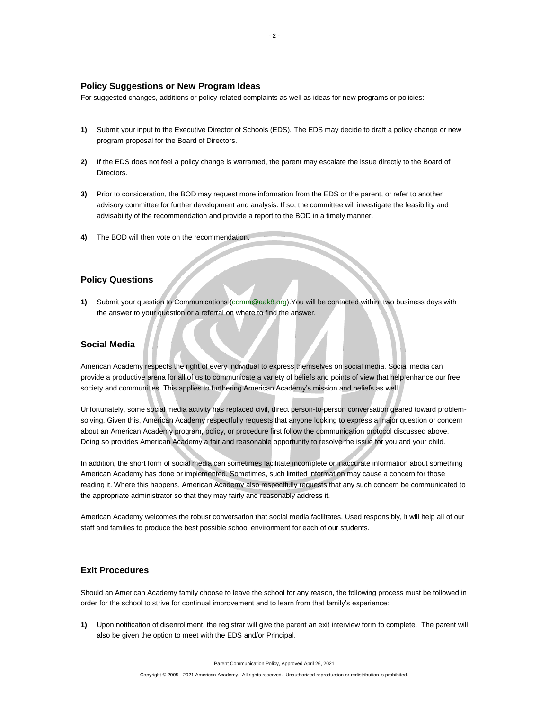### **Policy Suggestions or New Program Ideas**

For suggested changes, additions or policy-related complaints as well as ideas for new programs or policies:

- **1)** Submit your input to the Executive Director of Schools (EDS). The EDS may decide to draft a policy change or new program proposal for the Board of Directors.
- **2)** If the EDS does not feel a policy change is warranted, the parent may escalate the issue directly to the Board of Directors.
- **3)** Prior to consideration, the BOD may request more information from the EDS or the parent, or refer to another advisory committee for further development and analysis. If so, the committee will investigate the feasibility and advisability of the recommendation and provide a report to the BOD in a timely manner.
- **4)** The BOD will then vote on the recommendation.

## **Policy Questions**

**1)** Submit your question to Communications [\(comm@aak8.org\)](mailto:comm@aak8.org).You will be contacted within two business days with the answer to your question or a referral on where to find the answer.

## **Social Media**

American Academy respects the right of every individual to express themselves on social media. Social media can provide a productive arena for all of us to communicate a variety of beliefs and points of view that help enhance our free society and communities. This applies to furthering American Academy's mission and beliefs as well.

Unfortunately, some social media activity has replaced civil, direct person-to-person conversation geared toward problemsolving. Given this, American Academy respectfully requests that anyone looking to express a major question or concern about an American Academy program, policy, or procedure first follow the communication protocol discussed above. Doing so provides American Academy a fair and reasonable opportunity to resolve the issue for you and your child.

In addition, the short form of social media can sometimes facilitate incomplete or inaccurate information about something American Academy has done or implemented. Sometimes, such limited information may cause a concern for those reading it. Where this happens, American Academy also respectfully requests that any such concern be communicated to the appropriate administrator so that they may fairly and reasonably address it.

American Academy welcomes the robust conversation that social media facilitates. Used responsibly, it will help all of our staff and families to produce the best possible school environment for each of our students.

### **Exit Procedures**

Should an American Academy family choose to leave the school for any reason, the following process must be followed in order for the school to strive for continual improvement and to learn from that family's experience:

**1)** Upon notification of disenrollment, the registrar will give the parent an exit interview form to complete. The parent will also be given the option to meet with the EDS and/or Principal.

Parent Communication Policy, Approved April 26, 2021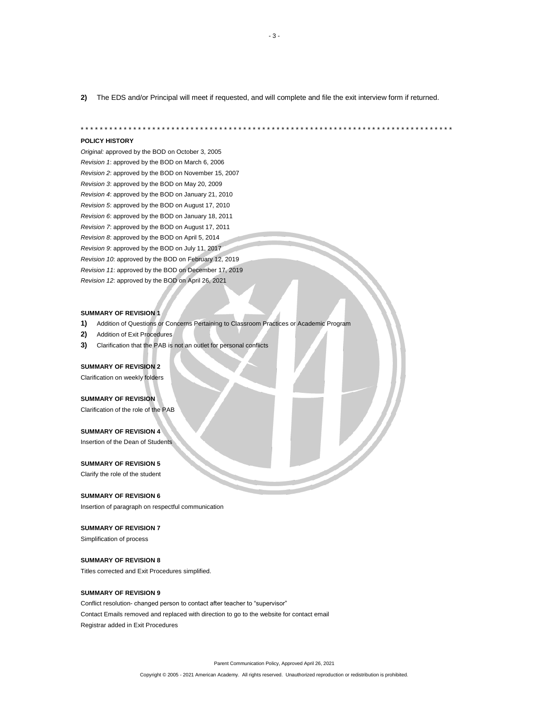**2)** The EDS and/or Principal will meet if requested, and will complete and file the exit interview form if returned.

\* \* \* \* \* \* \* \* \* \* \* \* \* \* \* \* \* \* \* \* \* \* \* \* \* \* \* \* \* \* \* \* \* \* \* \* \* \* \* \* \* \* \* \* \* \* \* \* \* \* \* \* \* \* \* \* \* \* \* \* \* \* \* \* \* \* \* \* \* \* \* \* \* \* \* \* \* \*

#### **POLICY HISTORY**

*Original:* approved by the BOD on October 3, 2005 *Revision 1*: approved by the BOD on March 6, 2006 *Revision 2*: approved by the BOD on November 15, 2007 *Revision 3*: approved by the BOD on May 20, 2009 *Revision 4*: approved by the BOD on January 21, 2010 *Revision 5*: approved by the BOD on August 17, 2010 *Revision 6*: approved by the BOD on January 18, 2011 *Revision 7*: approved by the BOD on August 17, 2011 *Revision 8*: approved by the BOD on April 5, 2014 *Revision 9*: approved by the BOD on July 11, 2017 *Revision 10*: approved by the BOD on February 12, 2019 *Revision 11*: approved by the BOD on December 17, 2019 *Revision 12*: approved by the BOD on April 26, 2021

#### **SUMMARY OF REVISION 1**

- **1)** Addition of Questions or Concerns Pertaining to Classroom Practices or Academic Program
- **2)** Addition of Exit Procedures
- **3)** Clarification that the PAB is not an outlet for personal conflicts

#### **SUMMARY OF REVISION 2**

Clarification on weekly folders

#### **SUMMARY OF REVISION**

Clarification of the role of the PAB

#### **SUMMARY OF REVISION 4**

Insertion of the Dean of Students

### **SUMMARY OF REVISION 5**

Clarify the role of the student

#### **SUMMARY OF REVISION 6**

Insertion of paragraph on respectful communication

### **SUMMARY OF REVISION 7**

Simplification of process

#### **SUMMARY OF REVISION 8**

Titles corrected and Exit Procedures simplified.

### **SUMMARY OF REVISION 9**

Conflict resolution- changed person to contact after teacher to "supervisor" Contact Emails removed and replaced with direction to go to the website for contact email Registrar added in Exit Procedures

Parent Communication Policy, Approved April 26, 2021